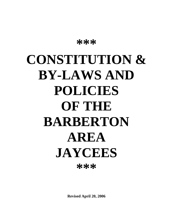# **CONSTITUTION & BY-LAWS AND POLICIES OF THE BARBERTON AREA JAYCEES \*\*\***

**\*\*\***

**Revised April 20, 2006**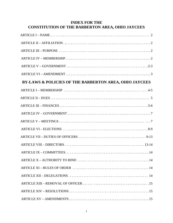## **INDEX FOR THE CONSTITUTION OF THE BARBERTON AREA, OHIO JAYCEES**

| BY-LAWS & POLICIES OF THE BARBERTON AREA, OHIO JAYCEES |
|--------------------------------------------------------|
|                                                        |
|                                                        |
|                                                        |
|                                                        |
|                                                        |
|                                                        |
|                                                        |
|                                                        |
|                                                        |
|                                                        |
|                                                        |
|                                                        |
|                                                        |
|                                                        |
|                                                        |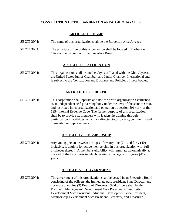#### **CONSTITUTION OF THE BARBERTON AREA, OHIO JAYCEES**

#### **ARTICLE I – NAME**

- **SECTION 1:** The name of this organization shall be the Barberton Area Jaycees.
- **SECTION 2:** The principle office of this organization shall be located in Barberton, Ohio, at the discretion of the Executive Board.

#### **ARTICLE II - AFFILIATION**

**SECTION 1:** This organization shall be and hereby is affiliated with the Ohio Jaycees, the United States Junior Chamber, and Junior Chamber International and is subject to the Constitution and By-Laws and Policies of these bodies.

#### **ARTICLE III - PURPOSE**

**SECTION 1:** This corporation shall operate as a not-for-profit organization established as an independent self-governing body under the laws of the state of Ohio, and restricted in its organization and operation by section 501 (c) 4 of the 1954 Internal Revenue Code. The further purpose of this organization shall be to provide its members with leadership training through participation in activities, which are directed toward civic, community and humanitarian improvements.

#### **ARTICLE IV - MEMBERSHIP**

**SECTION 1:** Any young person between the ages of twenty-one (21) and forty (40) inclusive, is eligible for active membership in this organization with full privileges thereof. A member's eligibility will terminate automatically at the end of the fiscal year in which he attains the age of forty-one (41) years.

#### **ARTICLE V - GOVERNMENT**

**SECTION 1:** The government of this organization shall be vested in an Executive Board consisting of the officers, the immediate past president, State Director and not more than nine (9) Board of Directors. Said officers shall be the President, Management Development Vice President, Community Development Vice President, Individual Development Vice President, Membership Development Vice President, Secretary, and Treasurer.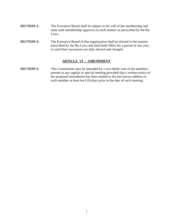- **SECTION 2:** The Executive Board shall be subject to the will of the membership and must seek membership approval on such matters as prescribed by the By-Laws.
- **SECTION 3:** The Executive Board of this organization shall be elected in the manner prescribed by the By-Laws and shall hold office for a period of one year, or until their successors are duly elected and charged.

#### **ARTICLE VI - AMENDMENT**

**SECTION 1:** This Constitution may be amended by a two-thirds vote of the members present at any regular or special meeting provided that a written notice of the proposed amendment has been mailed to the last known address of each member at least ten (10) days prior to the date of such meeting.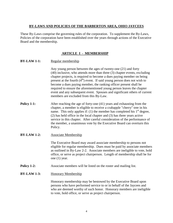#### **BY-LAWS AND POLICIES OF THE BARBERTON AREA, OHIO JAYCEES**

These By-Laws comprise the governing rules of the corporation. To supplement the By-Laws, Policies of the corporation have been established over the years through actions of the Executive Board and the membership.

## **ARTICLE I - MEMBERSHIP**

**BY-LAW 1-1:** Regular membership

Any young person between the ages of twenty-one (21) and forty (40) inclusive, who attends more than three (3) chapter events, excluding chapter projects, is required to become a dues paying member on being present at the fourth  $(4<sup>th</sup>)$  event. If said young person does not wish to become a dues paying member, the ranking officer present shall be required to ensure the aforementioned young person leaves the chapter event and any subsequent event. Spouses and significant others of current members are excluded from this By-Law.

- **Policy 1-1:** After reaching the age of forty-one (41) years and exhausting from the chapter, a member is eligible to receive a crabapple "cherry" tree in his name. This only applies if: (1) the member has completed his  $1<sup>st</sup>$  degree, (2) has held office in the local chapter and (3) has three years active service in this chapter. After careful consideration of the performance of the member, a unanimous vote by the Executive Board can overturn this Policy.
- **BY-LAW 1-2:** Associate Membership

The Executive Board may award associate membership to persons not eligible for regular membership. Dues must be paid by associate members as outlined in By-Law 2-2. Associate members are ineligible to vote, hold office, or serve as project chairperson. Length of membership shall be for one (1) year.

- **Policy 1-2:** Associate members will be listed on the roster and mailing list.
- **BY-LAW 1-3:** Honorary Membership

Honorary membership may be bestowed by the Executive Board upon persons who have performed service to or in behalf of the Jaycees and who are deemed worthy of such honor. Honorary members are ineligible to vote, hold office, or serve as project chairperson.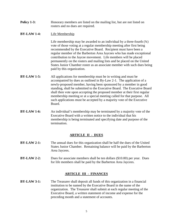**Policy 1-3:** Honorary members are listed on the mailing list, but are not listed on rosters and no dues are required.

### **BY-LAW 1-4:** Life Membership

Life membership may be awarded to an individual by a three-fourth  $(34)$ vote of those voting at a regular membership meeting after first being recommended by the Executive Board. Recipient must have been a regular member of the Barberton Area Jaycees who has made exceptional contribution to the Jaycee movement. Life members will be placed permanently on the rosters and mailing lists and be placed on the United States Junior Chamber roster as an associate member with such dues being paid by this organization.

- **BY-LAW 1-5:** All applications for membership must be in writing and must be accompanied by dues as outlined in By-Law 2-1. The application of a newly-proposed member, having been sponsored by a member in good standing, shall be submitted to the Executive Board. The Executive Board shall then vote upon accepting the proposed member at their first regular membership meeting or at a special meeting called for that purpose. All such applications must be accepted by a majority vote of the Executive Board.
- **BY-LAW 1-6:** An individual's membership may be terminated by a majority vote of the Executive Board with a written notice to the individual that his membership is being terminated and specifying date and purpose of the termination.

## **ARTICLE II - DUES**

- **BY-LAW 2-1:** The annual dues for this organization shall be half the dues of the United States Junior Chamber. Remaining balance will be paid by the Barberton Area Jaycees.
- **BY-LAW 2-2:** Dues for associate members shall be ten dollars (\$10.00) per year. Dues for life members shall be paid by the Barberton Area Jaycees.

## **ARTICLE III - FINANCES**

**BY-LAW 3-1:** The Treasurer shall deposit all funds of this organization in a financial institution to be named by the Executive Board in the name of the organization. The Treasurer shall submit at each regular meeting of the Executive Board, a written statement of income and expense for the preceding month and a statement of accounts.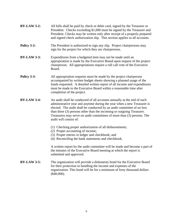| $BY-LAW3-2:$ | All bills shall be paid by check or debit card, signed by the Treasurer or |
|--------------|----------------------------------------------------------------------------|
|              | President. Checks exceeding \$1,000 must be signed by the Treasurer and    |
|              | President. Checks may be written only after receipt of a properly prepared |
|              | and signed check authorization slip. This section applies to all accounts. |

- **Policy 3-2:** The President is authorized to sign any slip. Project chairpersons may sign for the project for which they are chairpersons.
- **BY-LAW 3-3:** Expenditures from a budgeted item may not be made until an appropriation is made by the Executive Board upon request of the project chairperson. All appropriations require a roll call vote of the Executive Board.
- **Policy 3-3:** All appropriation requests must be made by the project chairperson accompanied by written budget sheets showing a planned usage of the funds requested. A detailed written report of all income and expenditures must be made to the Executive Board within a reasonable time after completion of the project.
- **BY-LAW 3-4:** An audit shall be conducted of all accounts annually at the end of each administrative year and anytime during the year when a new Treasurer is elected. The audit shall be conducted by an audit committee of no less than three (3) persons other than the incoming or outgoing Treasurer. Treasurers may serve on audit committees of more than (3) persons. The audit will consist of:
	- (1) Checking proper authorization of all disbursements;
	- (2) Proper accounting of income;
	- (3) Proper entries in ledger and checkbook; and
	- (4) Reconciling the bank statements and checkbook.

A written report by the audit committee will be made and become a part of the minutes of the Executive Board meeting at which the report is submitted and approved.

**BY-LAW 3-5:** The organization will provide a dishonesty bond for the Executive Board for their protection in handling the income and expenses of the organization. This bond will be for a minimum of forty thousand dollars (\$40,000).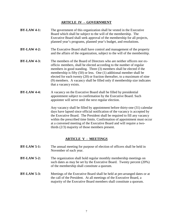#### **ARTICLE IV - GOVERNMENT**

- **BY-LAW 4-1:** The government of this organization shall be vested in the Executive Board which shall be subject to the will of the membership. The Executive Board shall seek approval of the membership for all projects, planned year's programs, planned year's budget, and resolutions.
- **BY-LAW 4-2:** The Executive Board shall have control and management of the property and the affairs of the organization, subject to the will of the membership.
- **BY-LAW 4-3:** The members of the Board of Directors who are neither officers nor exofficio members, shall be elected according to the number of regular members in good standing. Three (3) members shall be elected if the membership is fifty (50) or less. One (1) additional member shall be elected for each twenty (20) or fraction thereafter, to a maximum of nine (9) members. A vacancy shall be filled only if membership size indicates that a vacancy exists.
- **BY-LAW 4-4:** A vacancy on the Executive Board shall be filled by presidential appointment subject to confirmation by the Executive Board. Such appointee will serve until the next regular election.

Any vacancy shall be filled by appointment before thirty-one (31) calendar days have lapsed since official notification of the vacancy is accepted by the Executive Board. The President shall be required to fill any vacancy within the prescribed time limits. Confirmation of appointment must occur at a convened meeting of the Executive Board and will require a twothirds (2/3) majority of those members present.

#### **ARTICLE V - MEETINGS**

- **BY-LAW 5-1:** The annual meeting for purpose of election of officers shall be held in November of each year.
- **BY-LAW 5-2:** The organization shall hold regular monthly membership meetings on such dates as may be set by the Executive Board. Twenty percent (20%) of the membership shall constitute a quorum.
- **BY-LAW 5-3:** Meetings of the Executive Board shall be held at pre-arranged dates or at the call of the President. At all meetings of the Executive Board, a majority of the Executive Board members shall constitute a quorum.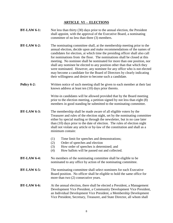#### **ARTICLE VI - ELECTIONS**

- **BY-LAW 6-1:** Not less than thirty (30) days prior to the annual election, the President shall appoint, with the approval of the Executive Board, a nominating committee of no less than three (3) members.
- **BY-LAW 6-2:** The nominating committee shall, at the membership meeting prior to the annual election, decide upon and make recommendations of the names of candidates for election, at which time the presiding officer shall also call for nominations from the floor. The nominations shall be closed at this meeting. No nominee shall be nominated for more than one position, nor shall any nominee be elected to any position other than that which they were nominated. However, any nominee for any office who is not elected may become a candidate for the Board of Directors by clearly indicating their willingness and desire to become such a candidate.
- **Policy 6-2:** Written notice of such meeting shall be given to each member at their last known address at least ten (10) days prior thereto.

Write-in candidates will be allowed provided that by the Board meeting prior to the election meeting, a petition signed by not less than eight (8) members in good standing be submitted to the nominating committee.

#### **BY-LAW 6-3:** The membership shall be made aware of all eligible voters by the Treasurer and rules of the election night, set by the nominating committee either by special mailing or through the newsletter, but in no case later than (10) days prior to the date of election. The rules of election night shall not violate any article or by-law of the constitution and shall as a minimum contain:

- (1) Time limit for speeches and demonstrations;
- (2) Order of speeches and election
- (3) How order of speeches is determined; and
- (4) How ballots will be passed out and collected.
- **BY-LAW 6-4:** No members of the nominating committee shall be eligible to be nominated to any office by action of the nominating committee.
- **BY-LAW 6-5:** The nominating committee shall select nominees for each Executive Board position. No officer shall be eligible to hold the same office for more than two (2) consecutive years.
- **BY-LAW 6-6:** At the annual election, there shall be elected a President, a Management Development Vice President, a Community Development Vice President, an Individual Development Vice President, a Membership Development Vice President, Secretary, Treasurer, and State Director, all whom shall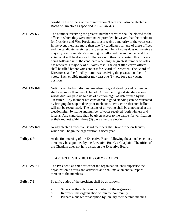constitute the officers of the organization. There shall also be elected a Board of Directors as specified in By-Law 4-3.

- **BY-LAW 6-7:** The nominee receiving the greatest number of votes shall be elected to the office to which they were nominated provided, however, that the candidate for President and Vice Presidents must receive a majority of the votes cast. In the event there are more than two (2) candidates for any of these offices and the candidate receiving the greatest number of votes does not receive a majority, each candidate's standing on ballot will be announced and the vote count will be disclosed. The vote will then be repeated, this process being followed until the candidate receiving the greatest number of votes has received a majority of all votes cast. The eight (8) elective offices shall be filled before votes are cast for Board of Directors. The Board of Directors shall be filled by nominees receiving the greatest number of votes. Each eligible member may cast one (1) vote for each vacant position.
- **BY-LAW 6-8:** Voting shall be by individual members in good standing and no person shall cast more than one (1) ballot. A member in good standing is one whose dues are paid up to date of election night as determined by the Treasurer. Any member not considered in good standing can be reinstated by bringing dues up to date prior to election. Proxies or absentee ballots will not be recognized. The results of all voting shall be announced at the election night by name and number of votes received (both winners and losers). Any candidate shall be given access to the ballots for verification at their request within three (3) days after the election.
- **BY-LAW 6-9:** Newly elected Executive Board members shall take office on January 1 which shall begin the organization's fiscal year.
- **Policy 6-9:** At the first meeting of the Executive Board following the annual elections, there may be appointed by the Executive Board, a Chaplain. The office of the Chaplain does not hold a seat on the Executive Board.

#### **ARTICLE VII - DUTIES OF OFFICERS**

- **BY-LAW 7-1:** The President, as chief officer of the organization, shall supervise the organization's affairs and activities and shall make an annual report thereon to the members.
- **Policy 7-1:** Specific duties of the president shall be as follows:
	- a. Supervise the affairs and activities of the organization.
	- b. Represent the organization within the community.
	- c. Prepare a budget for adoption by January membership meeting.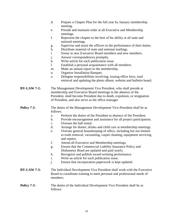- d. Prepare a Chapter Plan for the full year by January membership meeting.
- e. Preside and maintain order at all Executive and Membership meetings.
- f. Represent the chapter to the best of his ability at all state and national meetings.
- g. Supervise and assist the officers in the performance of their duties.
- h. Distribute material of state and national mailings.
- i. Swear in new Executive Board members and new members.
- j. Answer correspondences promptly.
- k. Write article for each publication issue.
- l. Establish a personal acquaintance with all members.
- m. Make an annual report to the membership.
- n. Organize Installation Banquet.
- o. Delegate responsibilities involving, issuing office keys, mail retrieval and updating the photo album, website and bulletin board.
- **BY-LAW 7-2:** The Management Development Vice President, who shall preside at membership and Executive Board meetings in the absence of the President, shall become President due to death, expulsion, or resignation of President, and also serve as the office manager.
- **Policy 7-2:** The duties of the Management Development Vice-President shall be as follows:
	- a. Perform the duties of the President in absence of the President.
	- b. Provide encouragement and assistance for all project participation.
	- c. Oversee the hall rental.
	- d. Arrange for dinner, drinks and child care at membership meetings.
	- e. Oversee general housekeeping of office, including but not limited to trash removal, vacuuming, carpet cleaning, equipment servicing and repairs.
	- f. Attend all Executive and Membership meetings.
	- g. Ensure that the Commercial Liability Insurance Policy and Dishonesty Bond are updated and paid yearly.
	- h. Recognize and publish award-winning performance.
	- i. Write an article for each publication issue.
	- j. Ensure that incorporation paperwork is kept updated.
- **BY-LAW 7-3:** The Individual Development Vice President shall work with the Executive Board to coordinate training to meet personal and professional needs of members.

#### **Policy 7-3:** The duties of the Individual Development Vice President shall be as follows: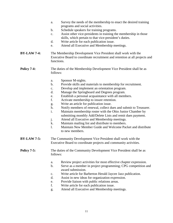- a. Survey the needs of the membership to enact the desired training programs and social activities.
- b. Schedule speakers for training programs.
- c. Assist other vice-presidents in training the membership in those skills, which pertain to that vice-president's duties.
- d. Write article for each publication issue.
- e. Attend all Executive and Membership meetings.
- **BY-LAW 7-4:** The Membership Development Vice President shall work with the Executive Board to coordinate recruitment and retention at all projects and functions.

#### **Policy 7-4:** The duties of the Membership Development Vice President shall be as follows:

- a. Sponsor M-nights.
- b. Provide skills and materials to membership for recruitment.
- c. Develop and implement an orientation program.
- d. Manage the Springboard and Degrees program.
- e. Establish a personal acquaintance with all members.
- f. Activate membership to insure retention.
- g. Write an article for publication issue.
- h. Notify members of renewal, collect dues and submit to Treasurer.
- i. Maintain membership roster with the Ohio Junior Chamber by submitting monthly Add/Delete Lists and remit dues payment.
- j. Attend all Executive and Membership meetings.
- k. Maintain mailing list and distribute to members.
- l. Maintain New Member Guide and Welcome Packet and distribute to new members.
- **BY-LAW 7-5:** The Community Development Vice President shall work with the Executive Board to coordinate projects and community activities.

#### **Policy 7-5:** The duties of the Community Development Vice President shall be as follows:

- a. Review project activities for most effective chapter expression.
- b. Serve as a member in project programming; CPG competition and award submission.
- c. Write article for Barberton Herald Jaycee Jazz publication.
- d. Assist in new ideas for organization expression.
- e. Provide liaison with public relations areas.
- f. Write article for each publication issue.
- g. Attend all Executive and Membership meetings.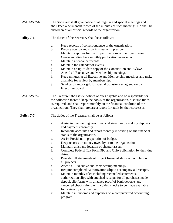| <b>BY-LAW 7-6:</b> | The Secretary shall give notice of all regular and special meetings and<br>shall keep a permanent record of the minutes of such meetings. He shall be<br>custodian of all official records of the organization.                                                                                              |                                                                                                                                                                                                                                                                                             |  |
|--------------------|--------------------------------------------------------------------------------------------------------------------------------------------------------------------------------------------------------------------------------------------------------------------------------------------------------------|---------------------------------------------------------------------------------------------------------------------------------------------------------------------------------------------------------------------------------------------------------------------------------------------|--|
| Policy 7-6:        | The duties of the Secretary shall be as follows:                                                                                                                                                                                                                                                             |                                                                                                                                                                                                                                                                                             |  |
|                    | a.                                                                                                                                                                                                                                                                                                           | Keep records of correspondence of the organization.                                                                                                                                                                                                                                         |  |
|                    | $\mathbf b$ .                                                                                                                                                                                                                                                                                                | Prepare agenda and sign in sheet with president.                                                                                                                                                                                                                                            |  |
|                    | c.                                                                                                                                                                                                                                                                                                           | Maintain supplies for the proper functions of the organization.                                                                                                                                                                                                                             |  |
|                    | d.                                                                                                                                                                                                                                                                                                           | Create and distribute monthly publication newsletter.                                                                                                                                                                                                                                       |  |
|                    | e.                                                                                                                                                                                                                                                                                                           | Maintain attendance records.                                                                                                                                                                                                                                                                |  |
|                    | f.                                                                                                                                                                                                                                                                                                           | Maintain the calendar of events.                                                                                                                                                                                                                                                            |  |
|                    | g.                                                                                                                                                                                                                                                                                                           | Maintain an up-to-date copy of the Constitution and Bylaws.                                                                                                                                                                                                                                 |  |
|                    | h.<br>i.                                                                                                                                                                                                                                                                                                     | Attend all Executive and Membership meetings.                                                                                                                                                                                                                                               |  |
|                    |                                                                                                                                                                                                                                                                                                              | Keep minutes at all Executive and Membership meetings and make<br>available for review by membership.                                                                                                                                                                                       |  |
|                    | j.                                                                                                                                                                                                                                                                                                           | Send cards and/or gift for special occasions as agreed on by<br><b>Executive Board.</b>                                                                                                                                                                                                     |  |
| <b>BY-LAW 7-7:</b> | The Treasurer shall issue notices of dues payable and be responsible for<br>the collection thereof, keep the books of the organization, disburse funds<br>as required, and shall report monthly on the financial condition of the<br>organization. They shall prepare a report for audit by their successor. |                                                                                                                                                                                                                                                                                             |  |
| <b>Policy 7-7:</b> | The duties of the Treasurer shall be as follows:                                                                                                                                                                                                                                                             |                                                                                                                                                                                                                                                                                             |  |
|                    | a.                                                                                                                                                                                                                                                                                                           | Assist in maintaining good financial structure by making deposits<br>and payments promptly.                                                                                                                                                                                                 |  |
|                    | b.                                                                                                                                                                                                                                                                                                           | Reconcile accounts and report monthly in writing on the financial<br>status of the organization.                                                                                                                                                                                            |  |
|                    | $\mathbf{c}$ .                                                                                                                                                                                                                                                                                               | Assist President in preparation of budget.                                                                                                                                                                                                                                                  |  |
|                    | d.                                                                                                                                                                                                                                                                                                           | Keep records on money owed by or to the organization.                                                                                                                                                                                                                                       |  |
|                    | e.                                                                                                                                                                                                                                                                                                           | Maintain a list and location of chapter assets.                                                                                                                                                                                                                                             |  |
|                    | f.                                                                                                                                                                                                                                                                                                           | Complete Federal Tax Form 990 and Ohio Solicitation by their due<br>dates.                                                                                                                                                                                                                  |  |
|                    | g.                                                                                                                                                                                                                                                                                                           | Provide full statements of project financial status at completion of<br>all projects.                                                                                                                                                                                                       |  |
|                    | $\mathbf h$                                                                                                                                                                                                                                                                                                  | Attend all Executive and Membership meetings.                                                                                                                                                                                                                                               |  |
|                    | i.                                                                                                                                                                                                                                                                                                           | Require completed Authorization Slip to accompany all receipts.                                                                                                                                                                                                                             |  |
|                    | j.                                                                                                                                                                                                                                                                                                           | Maintain monthly files including reconciled statements,<br>authorization slips with attached receipts for all purchases made,<br>deposit slip forms with attached proof of bank deposits and<br>cancelled checks along with voided checks to be made available<br>for review by any member. |  |
|                    | k.                                                                                                                                                                                                                                                                                                           | Maintain all income and expenses on a computerized accounting<br>program.                                                                                                                                                                                                                   |  |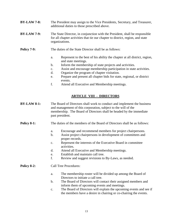**BY-LAW 7-8:** The President may assign to the Vice Presidents, Secretary, and Treasurer, additional duties to those prescribed above.

#### **BY-LAW 7-9:** The State Director, in conjunction with the President, shall be responsible for all chapter activities that tie our chapter to district, region, and state organizations.

- **Policy 7-9:** The duties of the State Director shall be as follows:
	- a. Represent to the best of his ability the chapter at all district, region, and state meetings.
	- b. Inform the membership of state projects and activities.
	- c. Assist and encourage membership participation in state activities.
	- d. Organize the program of chapter visitation.
	- e. Prepare and present all chapter bids for state, regional, or district events.
	- f. Attend all Executive and Membership meetings.

## **ARTICLE VIII - DIRECTORS**

- **BY-LAW 8-1:** The Board of Directors shall work to conduct and implement the business and management of this corporation, subject to the will of the membership. The Board of Directors shall be headed by the immediate past president.
- **Policy 8-1:** The duties of the members of the Board of Directors shall be as follows:
	- a. Encourage and recommend members for project chairpersons.
	- b. Assist project chairpersons in development of committees and proper records.
	- c. Represent the interests of the Executive Board in committee activities.
	- d. Attend all Executive and Membership meetings.
	- e. Establish and maintain call tree.
	- f. Review and suggest revisions to By-Laws, as needed.

#### **Policy 8-2:** Call Tree Procedures:

- a. The membership roster will be divided up among the Board of Directors to initiate a call tree.
- b. The Board of Directors will contact their assigned members and inform them of upcoming events and meetings.
- c. The Board of Directors will explain the upcoming events and see if the members have a desire in chairing or co-chairing the events.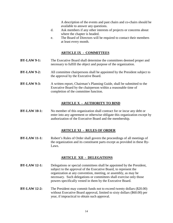A description of the events and past chairs and co-chairs should be available to answer any questions.

- d. Ask members if any other interests of projects or concerns about where the chapter is headed.
- e. The Board of Directors will be required to contact their members at least every month.

## **ARTICLE IX - COMMITTEES**

- **BY-LAW 9-1:** The Executive Board shall determine the committees deemed proper and necessary to fulfill the object and purpose of the organization.
- **BY-LAW 9-2:** All committee chairpersons shall be appointed by the President subject to the approval by the Executive Board.
- **BY-LAW 9-3:** A written report, Chairman's Planning Guide, shall be submitted to the Executive Board by the chairperson within a reasonable time of completion of the committee function.

#### **ARTICLE X - AUTHORITY TO BIND**

**BY-LAW 10-1:** No member of this organization shall contract for or incur any debt or enter into any agreement or otherwise obligate this organization except by authorization of the Executive Board and the membership.

#### **ARTICLE XI - RULES OF ORDER**

**BY-LAW 11-1:** Robert's Rules of Order shall govern the proceedings of all meetings of the organization and its constituent parts except as provided in these By-Laws.

#### **ARTICLE XII - DELEGATIONS**

- **BY-LAW 12-1:** Delegations or special committees shall be appointed by the President, subject to the approval of the Executive Board, to represent the organization at any convention, meeting, or assembly, as may be necessary. Such delegations or committees shall exercise only those powers specifically vested in them by the Executive Board.
- **BY-LAW 12-2:** The President may commit funds not to exceed twenty dollars (\$20.00) without Executive Board approval, limited to sixty dollars (\$60.00) per year, if impractical to obtain such approval.